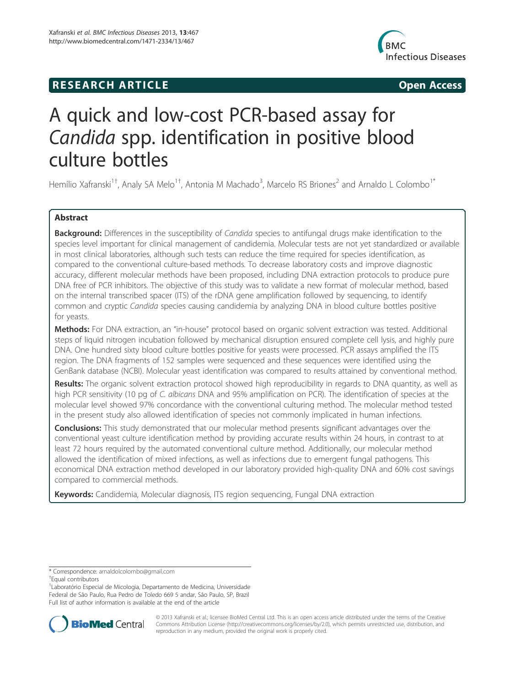# **RESEARCH ARTICLE Example 2014 12:30 The SEAR CHA RESEARCH ARTICLE**



# A quick and low-cost PCR-based assay for Candida spp. identification in positive blood culture bottles

Hemílio Xafranski<sup>1†</sup>, Analy SA Melo<sup>1†</sup>, Antonia M Machado<sup>3</sup>, Marcelo RS Briones<sup>2</sup> and Arnaldo L Colombo<sup>1\*</sup>

# Abstract

Background: Differences in the susceptibility of Candida species to antifungal drugs make identification to the species level important for clinical management of candidemia. Molecular tests are not yet standardized or available in most clinical laboratories, although such tests can reduce the time required for species identification, as compared to the conventional culture-based methods. To decrease laboratory costs and improve diagnostic accuracy, different molecular methods have been proposed, including DNA extraction protocols to produce pure DNA free of PCR inhibitors. The objective of this study was to validate a new format of molecular method, based on the internal transcribed spacer (ITS) of the rDNA gene amplification followed by sequencing, to identify common and cryptic Candida species causing candidemia by analyzing DNA in blood culture bottles positive for yeasts.

Methods: For DNA extraction, an "in-house" protocol based on organic solvent extraction was tested. Additional steps of liquid nitrogen incubation followed by mechanical disruption ensured complete cell lysis, and highly pure DNA. One hundred sixty blood culture bottles positive for yeasts were processed. PCR assays amplified the ITS region. The DNA fragments of 152 samples were sequenced and these sequences were identified using the GenBank database (NCBI). Molecular yeast identification was compared to results attained by conventional method.

Results: The organic solvent extraction protocol showed high reproducibility in regards to DNA quantity, as well as high PCR sensitivity (10 pg of C. albicans DNA and 95% amplification on PCR). The identification of species at the molecular level showed 97% concordance with the conventional culturing method. The molecular method tested in the present study also allowed identification of species not commonly implicated in human infections.

**Conclusions:** This study demonstrated that our molecular method presents significant advantages over the conventional yeast culture identification method by providing accurate results within 24 hours, in contrast to at least 72 hours required by the automated conventional culture method. Additionally, our molecular method allowed the identification of mixed infections, as well as infections due to emergent fungal pathogens. This economical DNA extraction method developed in our laboratory provided high-quality DNA and 60% cost savings compared to commercial methods.

Keywords: Candidemia, Molecular diagnosis, ITS region sequencing, Fungal DNA extraction

<sup>&</sup>lt;sup>1</sup> Laboratório Especial de Micologia, Departamento de Medicina, Universidade Federal de São Paulo, Rua Pedro de Toledo 669 5 andar, São Paulo, SP, Brazil Full list of author information is available at the end of the article



© 2013 Xafranski et al.; licensee BioMed Central Ltd. This is an open access article distributed under the terms of the Creative Commons Attribution License (http://creativecommons.org/licenses/by/2.0), which permits unrestricted use, distribution, and reproduction in any medium, provided the original work is properly cited.

<sup>\*</sup> Correspondence: arnaldolcolombo@gmail.com †

Equal contributors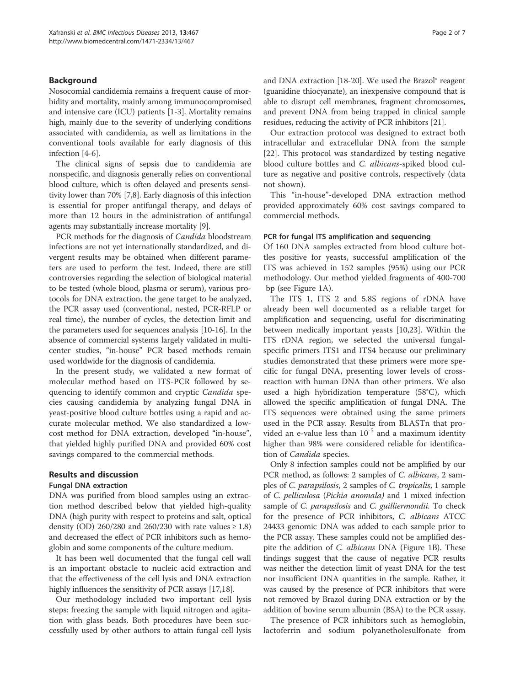# Background

Nosocomial candidemia remains a frequent cause of morbidity and mortality, mainly among immunocompromised and intensive care (ICU) patients [1-3]. Mortality remains high, mainly due to the severity of underlying conditions associated with candidemia, as well as limitations in the conventional tools available for early diagnosis of this infection [4-6].

The clinical signs of sepsis due to candidemia are nonspecific, and diagnosis generally relies on conventional blood culture, which is often delayed and presents sensitivity lower than 70% [7,8]. Early diagnosis of this infection is essential for proper antifungal therapy, and delays of more than 12 hours in the administration of antifungal agents may substantially increase mortality [9].

PCR methods for the diagnosis of *Candida* bloodstream infections are not yet internationally standardized, and divergent results may be obtained when different parameters are used to perform the test. Indeed, there are still controversies regarding the selection of biological material to be tested (whole blood, plasma or serum), various protocols for DNA extraction, the gene target to be analyzed, the PCR assay used (conventional, nested, PCR-RFLP or real time), the number of cycles, the detection limit and the parameters used for sequences analysis [10-16]. In the absence of commercial systems largely validated in multicenter studies, "in-house" PCR based methods remain used worldwide for the diagnosis of candidemia.

In the present study, we validated a new format of molecular method based on ITS-PCR followed by sequencing to identify common and cryptic Candida species causing candidemia by analyzing fungal DNA in yeast-positive blood culture bottles using a rapid and accurate molecular method. We also standardized a lowcost method for DNA extraction, developed "in-house", that yielded highly purified DNA and provided 60% cost savings compared to the commercial methods.

#### Results and discussion

#### Fungal DNA extraction

DNA was purified from blood samples using an extraction method described below that yielded high-quality DNA (high purity with respect to proteins and salt, optical density (OD) 260/280 and 260/230 with rate values  $\geq 1.8$ ) and decreased the effect of PCR inhibitors such as hemoglobin and some components of the culture medium.

It has been well documented that the fungal cell wall is an important obstacle to nucleic acid extraction and that the effectiveness of the cell lysis and DNA extraction highly influences the sensitivity of PCR assays [17,18].

Our methodology included two important cell lysis steps: freezing the sample with liquid nitrogen and agitation with glass beads. Both procedures have been successfully used by other authors to attain fungal cell lysis

and DNA extraction [18-20]. We used the Brazol® reagent (guanidine thiocyanate), an inexpensive compound that is able to disrupt cell membranes, fragment chromosomes, and prevent DNA from being trapped in clinical sample residues, reducing the activity of PCR inhibitors [21].

Our extraction protocol was designed to extract both intracellular and extracellular DNA from the sample [22]. This protocol was standardized by testing negative blood culture bottles and C. albicans-spiked blood culture as negative and positive controls, respectively (data not shown).

This "in-house"-developed DNA extraction method provided approximately 60% cost savings compared to commercial methods.

#### PCR for fungal ITS amplification and sequencing

Of 160 DNA samples extracted from blood culture bottles positive for yeasts, successful amplification of the ITS was achieved in 152 samples (95%) using our PCR methodology. Our method yielded fragments of 400-700 bp (see Figure 1A).

The ITS 1, ITS 2 and 5.8S regions of rDNA have already been well documented as a reliable target for amplification and sequencing, useful for discriminating between medically important yeasts [10,23]. Within the ITS rDNA region, we selected the universal fungalspecific primers ITS1 and ITS4 because our preliminary studies demonstrated that these primers were more specific for fungal DNA, presenting lower levels of crossreaction with human DNA than other primers. We also used a high hybridization temperature (58°C), which allowed the specific amplification of fungal DNA. The ITS sequences were obtained using the same primers used in the PCR assay. Results from BLASTn that provided an e-value less than  $10^{-5}$  and a maximum identity higher than 98% were considered reliable for identification of Candida species.

Only 8 infection samples could not be amplified by our PCR method, as follows: 2 samples of *C. albicans*, 2 samples of C. parapsilosis, 2 samples of C. tropicalis, 1 sample of C. pelliculosa (Pichia anomala) and 1 mixed infection sample of *C. parapsilosis* and *C. guilliermondii*. To check for the presence of PCR inhibitors, C. albicans ATCC 24433 genomic DNA was added to each sample prior to the PCR assay. These samples could not be amplified despite the addition of *C. albicans* DNA (Figure 1B). These findings suggest that the cause of negative PCR results was neither the detection limit of yeast DNA for the test nor insufficient DNA quantities in the sample. Rather, it was caused by the presence of PCR inhibitors that were not removed by Brazol during DNA extraction or by the addition of bovine serum albumin (BSA) to the PCR assay.

The presence of PCR inhibitors such as hemoglobin, lactoferrin and sodium polyanetholesulfonate from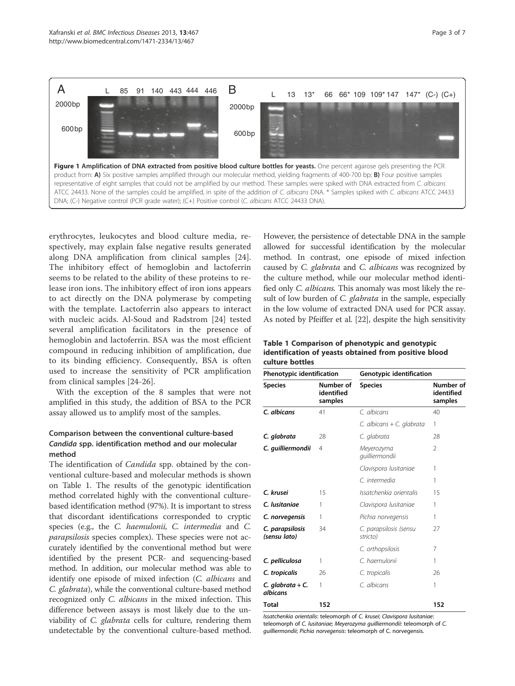

erythrocytes, leukocytes and blood culture media, respectively, may explain false negative results generated along DNA amplification from clinical samples [24]. The inhibitory effect of hemoglobin and lactoferrin seems to be related to the ability of these proteins to release iron ions. The inhibitory effect of iron ions appears to act directly on the DNA polymerase by competing with the template. Lactoferrin also appears to interact with nucleic acids. Al-Soud and Radstrom [24] tested several amplification facilitators in the presence of hemoglobin and lactoferrin. BSA was the most efficient compound in reducing inhibition of amplification, due to its binding efficiency. Consequently, BSA is often used to increase the sensitivity of PCR amplification from clinical samples [24-26].

With the exception of the 8 samples that were not amplified in this study, the addition of BSA to the PCR assay allowed us to amplify most of the samples.

# Comparison between the conventional culture-based Candida spp. identification method and our molecular method

The identification of *Candida* spp. obtained by the conventional culture-based and molecular methods is shown on Table 1. The results of the genotypic identification method correlated highly with the conventional culturebased identification method (97%). It is important to stress that discordant identifications corresponded to cryptic species (e.g., the C. haemulonii, C. intermedia and C. parapsilosis species complex). These species were not accurately identified by the conventional method but were identified by the present PCR- and sequencing-based method. In addition, our molecular method was able to identify one episode of mixed infection (C. albicans and C. glabrata), while the conventional culture-based method recognized only C. albicans in the mixed infection. This difference between assays is most likely due to the unviability of C. glabrata cells for culture, rendering them undetectable by the conventional culture-based method.

However, the persistence of detectable DNA in the sample allowed for successful identification by the molecular method. In contrast, one episode of mixed infection caused by C. glabrata and C. albicans was recognized by the culture method, while our molecular method identified only C. albicans. This anomaly was most likely the result of low burden of *C. glabrata* in the sample, especially in the low volume of extracted DNA used for PCR assay. As noted by Pfeiffer et al. [22], despite the high sensitivity

# Table 1 Comparison of phenotypic and genotypic identification of yeasts obtained from positive blood culture bottles

| Phenotypic identification       |                                    | Genotypic identification           |                                    |
|---------------------------------|------------------------------------|------------------------------------|------------------------------------|
| <b>Species</b>                  | Number of<br>identified<br>samples | <b>Species</b>                     | Number of<br>identified<br>samples |
| C. albicans                     | 41                                 | C. albicans                        | 40                                 |
|                                 |                                    | C. albicans + C. glabrata          | 1                                  |
| C. glabrata                     | 28                                 | C. glabrata                        | 28                                 |
| C. quilliermondii               | 4                                  | Meyerozyma<br>quilliermondii       | $\mathfrak{D}$                     |
|                                 |                                    | Clavispora Iusitaniae              | 1                                  |
|                                 |                                    | C. intermedia                      | 1                                  |
| C. krusei                       | 15                                 | Issatchenkia orientalis            | 15                                 |
| C. lusitaniae                   | 1                                  | Clavispora Iusitaniae              | 1                                  |
| C. norvegensis                  | 1                                  | Pichia norvegensis                 | 1                                  |
| C. parapsilosis<br>(sensu lato) | 34                                 | C. parapsilosis (sensu<br>stricto) | 27                                 |
|                                 |                                    | C. orthopsilosis                   | 7                                  |
| C. pelliculosa                  | 1                                  | C. haemulonii                      | 1                                  |
| C. tropicalis                   | 26                                 | C. tropicalis                      | 26                                 |
| C. glabrata + C.<br>albicans    | 1                                  | C. albicans                        | 1                                  |
| Total                           | 152                                |                                    | 152                                |

Issatchenkia orientalis: teleomorph of C. krusei; Clavispora lusitaniae: teleomorph of C. lusitaniae; Meyerozyma guilliermondii: teleomorph of C. guilliermondii; Pichia norvegensis: teleomorph of C. norvegensis.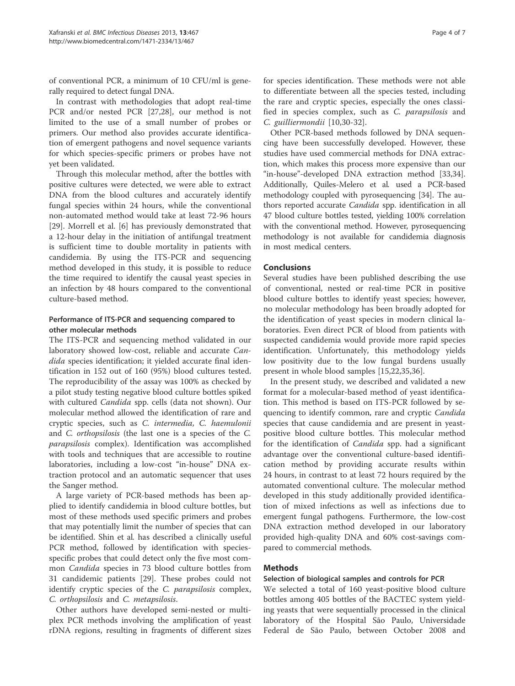of conventional PCR, a minimum of 10 CFU/ml is generally required to detect fungal DNA.

In contrast with methodologies that adopt real-time PCR and/or nested PCR [27,28], our method is not limited to the use of a small number of probes or primers. Our method also provides accurate identification of emergent pathogens and novel sequence variants for which species-specific primers or probes have not yet been validated.

Through this molecular method, after the bottles with positive cultures were detected, we were able to extract DNA from the blood cultures and accurately identify fungal species within 24 hours, while the conventional non-automated method would take at least 72-96 hours [29]. Morrell et al. [6] has previously demonstrated that a 12-hour delay in the initiation of antifungal treatment is sufficient time to double mortality in patients with candidemia. By using the ITS-PCR and sequencing method developed in this study, it is possible to reduce the time required to identify the causal yeast species in an infection by 48 hours compared to the conventional culture-based method.

# Performance of ITS-PCR and sequencing compared to other molecular methods

The ITS-PCR and sequencing method validated in our laboratory showed low-cost, reliable and accurate Candida species identification; it yielded accurate final identification in 152 out of 160 (95%) blood cultures tested. The reproducibility of the assay was 100% as checked by a pilot study testing negative blood culture bottles spiked with cultured Candida spp. cells (data not shown). Our molecular method allowed the identification of rare and cryptic species, such as C. intermedia, C. haemulonii and C. orthopsilosis (the last one is a species of the C. parapsilosis complex). Identification was accomplished with tools and techniques that are accessible to routine laboratories, including a low-cost "in-house" DNA extraction protocol and an automatic sequencer that uses the Sanger method.

A large variety of PCR-based methods has been applied to identify candidemia in blood culture bottles, but most of these methods used specific primers and probes that may potentially limit the number of species that can be identified. Shin et al. has described a clinically useful PCR method, followed by identification with speciesspecific probes that could detect only the five most common Candida species in 73 blood culture bottles from 31 candidemic patients [29]. These probes could not identify cryptic species of the *C. parapsilosis* complex, C. orthopsilosis and C. metapsilosis.

Other authors have developed semi-nested or multiplex PCR methods involving the amplification of yeast rDNA regions, resulting in fragments of different sizes for species identification. These methods were not able to differentiate between all the species tested, including the rare and cryptic species, especially the ones classified in species complex, such as C. parapsilosis and C. guilliermondii [10,30-32].

Other PCR-based methods followed by DNA sequencing have been successfully developed. However, these studies have used commercial methods for DNA extraction, which makes this process more expensive than our "in-house"-developed DNA extraction method [33,34]. Additionally, Quiles-Melero et al. used a PCR-based methodology coupled with pyrosequencing [34]. The authors reported accurate Candida spp. identification in all 47 blood culture bottles tested, yielding 100% correlation with the conventional method. However, pyrosequencing methodology is not available for candidemia diagnosis in most medical centers.

# Conclusions

Several studies have been published describing the use of conventional, nested or real-time PCR in positive blood culture bottles to identify yeast species; however, no molecular methodology has been broadly adopted for the identification of yeast species in modern clinical laboratories. Even direct PCR of blood from patients with suspected candidemia would provide more rapid species identification. Unfortunately, this methodology yields low positivity due to the low fungal burdens usually present in whole blood samples [15,22,35,36].

In the present study, we described and validated a new format for a molecular-based method of yeast identification. This method is based on ITS-PCR followed by sequencing to identify common, rare and cryptic Candida species that cause candidemia and are present in yeastpositive blood culture bottles. This molecular method for the identification of Candida spp. had a significant advantage over the conventional culture-based identification method by providing accurate results within 24 hours, in contrast to at least 72 hours required by the automated conventional culture. The molecular method developed in this study additionally provided identification of mixed infections as well as infections due to emergent fungal pathogens. Furthermore, the low-cost DNA extraction method developed in our laboratory provided high-quality DNA and 60% cost-savings compared to commercial methods.

# Methods

# Selection of biological samples and controls for PCR

We selected a total of 160 yeast-positive blood culture bottles among 405 bottles of the BACTEC system yielding yeasts that were sequentially processed in the clinical laboratory of the Hospital São Paulo, Universidade Federal de São Paulo, between October 2008 and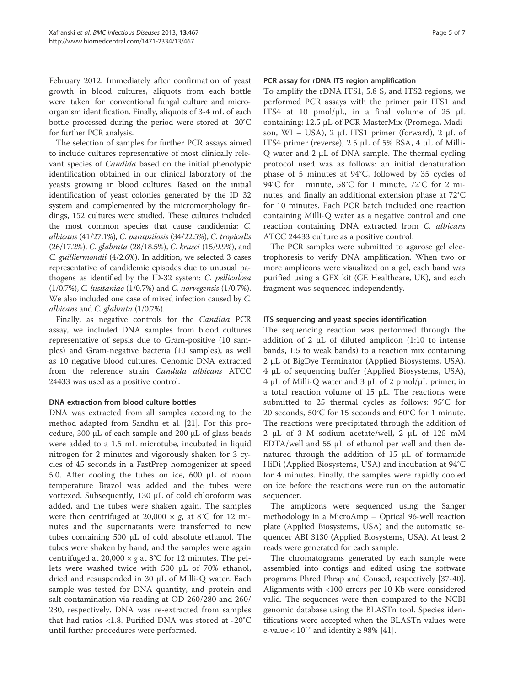February 2012. Immediately after confirmation of yeast growth in blood cultures, aliquots from each bottle were taken for conventional fungal culture and microorganism identification. Finally, aliquots of 3-4 mL of each bottle processed during the period were stored at -20°C for further PCR analysis.

The selection of samples for further PCR assays aimed to include cultures representative of most clinically relevant species of Candida based on the initial phenotypic identification obtained in our clinical laboratory of the yeasts growing in blood cultures. Based on the initial identification of yeast colonies generated by the ID 32 system and complemented by the micromorphology findings, 152 cultures were studied. These cultures included the most common species that cause candidemia: C. albicans (41/27.1%), C. parapsilosis (34/22.5%), C. tropicalis (26/17.2%), C. glabrata (28/18.5%), C. krusei (15/9.9%), and C. guilliermondii (4/2.6%). In addition, we selected 3 cases representative of candidemic episodes due to unusual pathogens as identified by the ID-32 system: C. pelliculosa (1/0.7%), C. lusitaniae (1/0.7%) and C. norvegensis (1/0.7%). We also included one case of mixed infection caused by C. albicans and C. glabrata (1/0.7%).

Finally, as negative controls for the Candida PCR assay, we included DNA samples from blood cultures representative of sepsis due to Gram-positive (10 samples) and Gram-negative bacteria (10 samples), as well as 10 negative blood cultures. Genomic DNA extracted from the reference strain Candida albicans ATCC 24433 was used as a positive control.

# DNA extraction from blood culture bottles

DNA was extracted from all samples according to the method adapted from Sandhu et al. [21]. For this procedure, 300 μL of each sample and 200 μL of glass beads were added to a 1.5 mL microtube, incubated in liquid nitrogen for 2 minutes and vigorously shaken for 3 cycles of 45 seconds in a FastPrep homogenizer at speed 5.0. After cooling the tubes on ice, 600 μL of room temperature Brazol was added and the tubes were vortexed. Subsequently, 130 μL of cold chloroform was added, and the tubes were shaken again. The samples were then centrifuged at 20,000  $\times$  g, at 8°C for 12 minutes and the supernatants were transferred to new tubes containing 500 μL of cold absolute ethanol. The tubes were shaken by hand, and the samples were again centrifuged at 20,000  $\times$  g at 8°C for 12 minutes. The pellets were washed twice with 500 μL of 70% ethanol, dried and resuspended in 30 μL of Milli-Q water. Each sample was tested for DNA quantity, and protein and salt contamination via reading at OD 260/280 and 260/ 230, respectively. DNA was re-extracted from samples that had ratios <1.8. Purified DNA was stored at -20°C until further procedures were performed.

#### PCR assay for rDNA ITS region amplification

To amplify the rDNA ITS1, 5.8 S, and ITS2 regions, we performed PCR assays with the primer pair ITS1 and ITS4 at 10 pmol/μL, in a final volume of 25 μL containing: 12.5 μL of PCR MasterMix (Promega, Madison, WI – USA), 2 μL ITS1 primer (forward), 2 μL of ITS4 primer (reverse), 2.5 μL of 5% BSA, 4 μL of Milli-Q water and 2 μL of DNA sample. The thermal cycling protocol used was as follows: an initial denaturation phase of 5 minutes at 94°C, followed by 35 cycles of 94°C for 1 minute, 58°C for 1 minute, 72°C for 2 minutes, and finally an additional extension phase at 72°C for 10 minutes. Each PCR batch included one reaction containing Milli-Q water as a negative control and one reaction containing DNA extracted from C. albicans ATCC 24433 culture as a positive control.

The PCR samples were submitted to agarose gel electrophoresis to verify DNA amplification. When two or more amplicons were visualized on a gel, each band was purified using a GFX kit (GE Healthcare, UK), and each fragment was sequenced independently.

#### ITS sequencing and yeast species identification

The sequencing reaction was performed through the addition of 2  $\mu$ L of diluted amplicon (1:10 to intense bands, 1:5 to weak bands) to a reaction mix containing 2 μL of BigDye Terminator (Applied Biosystems, USA), 4 μL of sequencing buffer (Applied Biosystems, USA), 4 μL of Milli-Q water and 3 μL of 2 pmol/μL primer, in a total reaction volume of 15 μL. The reactions were submitted to 25 thermal cycles as follows: 95°C for 20 seconds, 50°C for 15 seconds and 60°C for 1 minute. The reactions were precipitated through the addition of 2 μL of 3 M sodium acetate/well, 2 μL of 125 mM EDTA/well and 55 μL of ethanol per well and then denatured through the addition of 15 μL of formamide HiDi (Applied Biosystems, USA) and incubation at 94°C for 4 minutes. Finally, the samples were rapidly cooled on ice before the reactions were run on the automatic sequencer.

The amplicons were sequenced using the Sanger methodology in a MicroAmp – Optical 96-well reaction plate (Applied Biosystems, USA) and the automatic sequencer ABI 3130 (Applied Biosystems, USA). At least 2 reads were generated for each sample.

The chromatograms generated by each sample were assembled into contigs and edited using the software programs Phred Phrap and Consed, respectively [37-40]. Alignments with <100 errors per 10 Kb were considered valid. The sequences were then compared to the NCBI genomic database using the BLASTn tool. Species identifications were accepted when the BLASTn values were e-value <  $10^{-5}$  and identity ≥ 98% [41].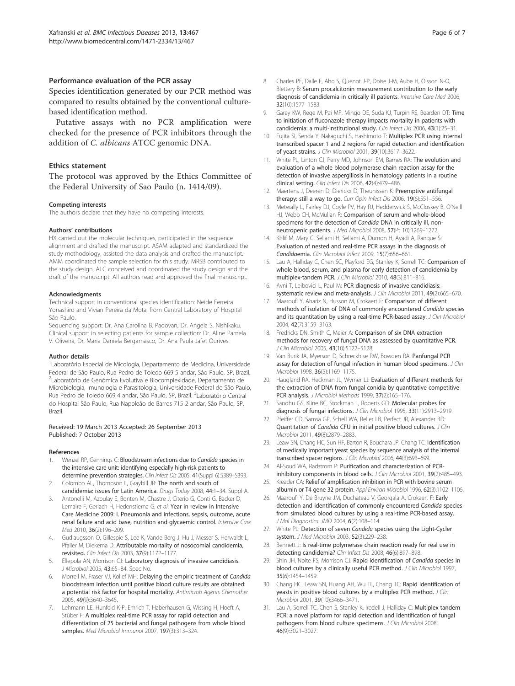#### Performance evaluation of the PCR assay

Species identification generated by our PCR method was compared to results obtained by the conventional culturebased identification method.

Putative assays with no PCR amplification were checked for the presence of PCR inhibitors through the addition of C. albicans ATCC genomic DNA.

#### Ethics statement

The protocol was approved by the Ethics Committee of the Federal University of Sao Paulo (n. 1414/09).

#### Competing interests

The authors declare that they have no competing interests.

#### Authors' contributions

HX carried out the molecular techniques, participated in the sequence alignment and drafted the manuscript. ASAM adapted and standardized the study methodology, assisted the data analysis and drafted the manuscript. AMM coordinated the sample selection for this study. MRSB contributed to the study design. ALC conceived and coordinated the study design and the draft of the manuscript. All authors read and approved the final manuscript.

#### Acknowledgments

Technical support in conventional species identification: Neide Ferreira Yonashiro and Vivian Pereira da Mota, from Central Laboratory of Hospital São Paulo.

Sequencing support: Dr. Ana Carolina B. Padovan, Dr. Angela S. Nishikaku. Clinical support in selecting patients for sample collection: Dr. Aline Pamela V. Oliveira, Dr. Maria Daniela Bergamasco, Dr. Ana Paula Jafet Ourives.

#### Author details

<sup>1</sup> Laboratório Especial de Micologia, Departamento de Medicina, Universidade Federal de São Paulo, Rua Pedro de Toledo 669 5 andar, São Paulo, SP, Brazil. <sup>2</sup>Laboratório de Genômica Evolutiva e Biocomplexidade, Departamento de Microbiologia, Imunologia e Parasitologia, Universidade Federal de São Paulo, Rua Pedro de Toledo 669 4 andar, São Paulo, SP, Brazil. <sup>3</sup>Laboratório Central do Hospital São Paulo, Rua Napoleão de Barros 715 2 andar, São Paulo, SP, Brazil.

#### Received: 19 March 2013 Accepted: 26 September 2013 Published: 7 October 2013

#### References

- 1. Wenzel RP, Gennings C: Bloodstream infections due to Candida species in the intensive care unit: identifying especially high-risk patients to determine prevention strategies. Clin Infect Dis 2005, 41(Suppl 6):S389-S393.
- 2. Colombo AL, Thompson L, Graybill JR: The north and south of candidemia: issues for Latin America. Drugs Today 2008, 44:1–34. Suppl A.
- 3. Antonelli M, Azoulay E, Bonten M, Chastre J, Citerio G, Conti G, Backer D, Lemaire F, Gerlach H, Hedenstierna G, et al: Year in review in Intensive Care Medicine 2009: I. Pneumonia and infections, sepsis, outcome, acute
- renal failure and acid base, nutrition and glycaemic control. Intensive Care Med 2010, 36(2):196–209. 4. Gudlaugsson O, Gillespie S, Lee K, Vande Berg J, Hu J, Messer S, Herwaldt L,
- Pfaller M, Diekema D: Attributable mortality of nosocomial candidemia, revisited. Clin Infect Dis 2003, 37(9):1172–1177.
- 5. Ellepola AN, Morrison CJ: Laboratory diagnosis of invasive candidiasis. J Microbiol 2005, 43:65–84. Spec No.
- 6. Morrell M, Fraser VJ, Kollef MH: Delaying the empiric treatment of Candida bloodstream infection until positive blood culture results are obtained: a potential risk factor for hospital mortality. Antimicrob Agents Chemother 2005, 49(9):3640–3645.
- Lehmann LE, Hunfeld K-P, Emrich T, Haberhausen G, Wissing H, Hoeft A, Stüber F: A multiplex real-time PCR assay for rapid detection and differentiation of 25 bacterial and fungal pathogens from whole blood samples. Med Microbiol Immunol 2007, 197(3):313–324.
- 8. Charles PE, Dalle F, Aho S, Quenot J-P, Doise J-M, Aube H, Olsson N-O, Blettery B: Serum procalcitonin measurement contribution to the early diagnosis of candidemia in critically ill patients. Intensive Care Med 2006, 32(10):1577–1583.
- 9. Garey KW, Rege M, Pai MP, Mingo DE, Suda KJ, Turpin RS, Bearden DT: Time to initiation of fluconazole therapy impacts mortality in patients with candidemia: a multi-institutional study. Clin Infect Dis 2006, 43(1):25–31.
- 10. Fujita SI, Senda Y, Nakaguchi S, Hashimoto T: Multiplex PCR using internal transcribed spacer 1 and 2 regions for rapid detection and identification of yeast strains. J Clin Microbiol 2001, 39(10):3617–3622.
- 11. White PL, Linton CJ, Perry MD, Johnson EM, Barnes RA: The evolution and evaluation of a whole blood polymerase chain reaction assay for the detection of invasive aspergillosis in hematology patients in a routine clinical setting. Clin Infect Dis 2006, 42(4):479–486.
- 12. Maertens J, Deeren D, Dierickx D, Theunissen K: Preemptive antifungal therapy: still a way to go. Curr Opin Infect Dis 2006, 19(6):551-556.
- 13. Metwally L, Fairley DJ, Coyle PV, Hay RJ, Hedderwick S, McCloskey B, O'Neill HJ, Webb CH, McMullan R: Comparison of serum and whole-blood specimens for the detection of Candida DNA in critically ill, nonneutropenic patients. J Med Microbiol 2008, 57(Pt 10):1269–1272.
- 14. Khlif M, Mary C, Sellami H, Sellami A, Dumon H, Ayadi A, Ranque S: Evaluation of nested and real-time PCR assays in the diagnosis of Candidaemia. Clin Microbiol Infect 2009, 15(7):656–661.
- 15. Lau A, Halliday C, Chen SC, Playford EG, Stanley K, Sorrell TC: Comparison of whole blood, serum, and plasma for early detection of candidemia by multiplex-tandem PCR. J Clin Microbiol 2010, 48(3):811–816.
- 16. Avni T, Leibovici L, Paul M: PCR diagnosis of invasive candidiasis: systematic review and meta-analysis. J Clin Microbiol 2011, 49(2):665-670.
- 17. Maaroufi Y, Ahariz N, Husson M, Crokaert F: Comparison of different methods of isolation of DNA of commonly encountered Candida species and its quantitation by using a real-time PCR-based assay. J Clin Microbiol 2004, 42(7):3159–3163.
- 18. Fredricks DN, Smith C, Meier A: Comparison of six DNA extraction methods for recovery of fungal DNA as assessed by quantitative PCR. J Clin Microbiol 2005, 43(10):5122–5128.
- 19. Van Burik JA, Myerson D, Schreckhise RW, Bowden RA: Panfungal PCR assay for detection of fungal infection in human blood specimens. J Clin Microbiol 1998, 36(5):1169–1175.
- 20. Haugland RA, Heckman JL, Wymer LJ: Evaluation of different methods for the extraction of DNA from fungal conidia by quantitative competitive PCR analysis. J Microbiol Methods 1999, 37(2):165–176.
- 21. Sandhu GS, Kline BC, Stockman L, Roberts GD: Molecular probes for diagnosis of fungal infections. J Clin Microbiol 1995, 33(11):2913–2919.
- 22. Pfeiffer CD, Samsa GP, Schell WA, Reller LB, Perfect JR, Alexander BD: Quantitation of Candida CFU in initial positive blood cultures. J Clin Microbiol 2011, 49(8):2879–2883.
- 23. Leaw SN, Chang HC, Sun HF, Barton R, Bouchara JP, Chang TC: Identification of medically important yeast species by sequence analysis of the internal transcribed spacer regions. J Clin Microbiol 2006, 44(3):693-699.
- 24. Al-Soud WA, Radstrom P: Purification and characterization of PCRinhibitory components in blood cells. J Clin Microbiol 2001, 39(2):485-493.
- 25. Kreader CA: Relief of amplification inhibition in PCR with bovine serum albumin or T4 gene 32 protein. Appl Environ Microbiol 1996, 62(3):1102–1106.
- 26. Maaroufi Y, De Bruyne JM, Duchateau V, Georgala A, Crokaert F: Early detection and identification of commonly encountered Candida species from simulated blood cultures by using a real-time PCR-based assay. J Mol Diagnostics: JMD 2004, 6(2):108–114.
- 27. White PL: Detection of seven Candida species using the Light-Cycler system. J Med Microbiol 2003, 52(3):229–238.
- 28. Bennett J: Is real-time polymerase chain reaction ready for real use in detecting candidemia? Clin Infect Dis 2008, 46(6):897-898.
- 29. Shin JH, Nolte FS, Morrison CJ: Rapid identification of Candida species in blood cultures by a clinically useful PCR method. J Clin Microbiol 1997, 35(6):1454–1459.
- 30. Chang HC, Leaw SN, Huang AH, Wu TL, Chang TC: Rapid identification of yeasts in positive blood cultures by a multiplex PCR method. J Clin Microbiol 2001, 39(10):3466–3471.
- 31. Lau A, Sorrell TC, Chen S, Stanley K, Iredell J, Halliday C: Multiplex tandem PCR: a novel platform for rapid detection and identification of fungal pathogens from blood culture specimens. J Clin Microbiol 2008, 46(9):3021–3027.